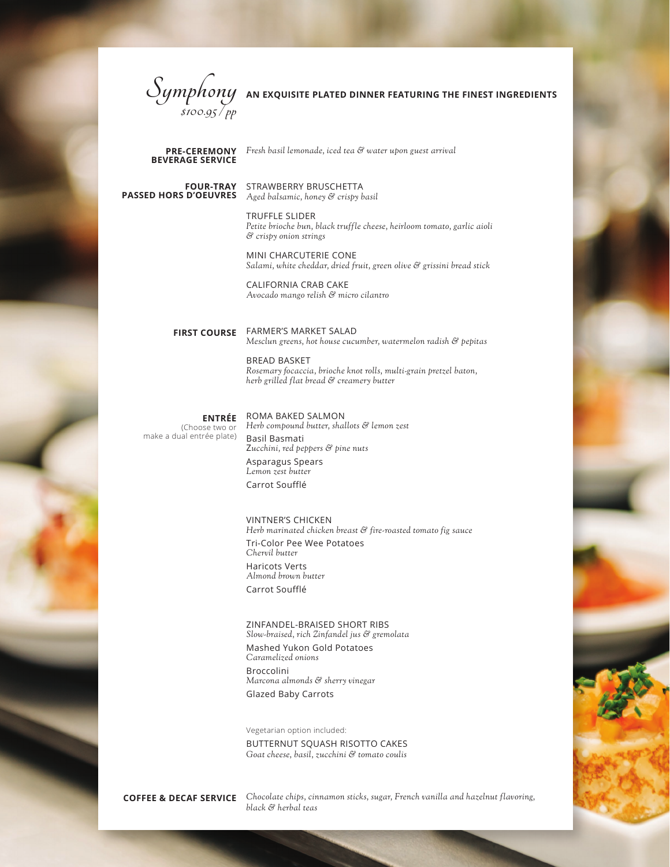

**BEVERAGE SERVICE**

*Fresh basil lemonade, iced tea & water upon guest arrival* **PRE-CEREMONY**

**PASSED HORS D'OEUVRES**

**FOUR-TRAY** STRAWBERRY BRUSCHETTA *Aged balsamic, honey & crispy basil* 

> TRUFFLE SLIDER *Petite brioche bun, black truffle cheese, heirloom tomato, garlic aioli & crispy onion strings*

> MINI CHARCUTERIE CONE *Salami, white cheddar, dried fruit, green olive & grissini bread stick*

CALIFORNIA CRAB CAKE *Avocado mango relish & micro cilantro*

**FIRST COURSE**

FARMER'S MARKET SALAD *Mesclun greens, hot house cucumber, watermelon radish & pepitas*

BREAD BASKET *Rosemary focaccia, brioche knot rolls, multi-grain pretzel baton, herb grilled flat bread & creamery butter*

## **ENTRÉE**

(Choose two or make a dual entrée plate)

ROMA BAKED SALMON *Herb compound butter, shallots & lemon zest*  Basil Basmati Z*ucchini, red peppers & pine nuts* Asparagus Spears *Lemon zest butter*  Carrot Soufflé

VINTNER'S CHICKEN

*Herb marinated chicken breast & fire-roasted tomato fig sauce* Tri-Color Pee Wee Potatoes *Chervil butter* Haricots Verts *Almond brown butter* Carrot Soufflé

ZINFANDEL-BRAISED SHORT RIBS

*Slow-braised, rich Zinfandel jus & gremolata*  Mashed Yukon Gold Potatoes

*Caramelized onions* Broccolini *Marcona almonds & sherry vinegar* Glazed Baby Carrots

Vegetarian option included:

BUTTERNUT SQUASH RISOTTO CAKES *Goat cheese, basil, zucchini & tomato coulis*

*Chocolate chips, cinnamon sticks, sugar, French vanilla and hazelnut flavoring,*  **COFFEE & DECAF SERVICE** *black & herbal teas*